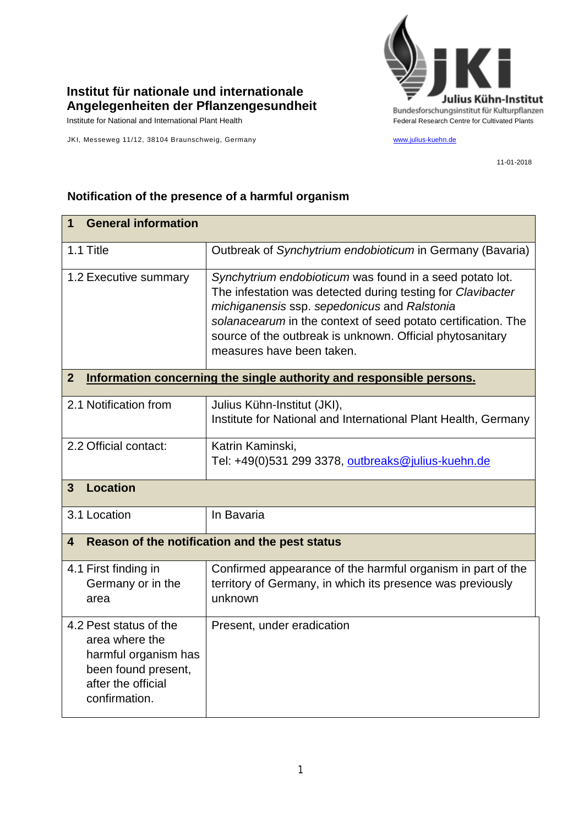## **Institut für nationale und internationale Angelegenheiten der Pflanzengesundheit**

Institute for National and International Plant Health Feature And Theorem Federal Research Centre for Cultivated Plants

JKI, Messeweg 11/12, 38104 Braunschweig, Germany [www.julius-kuehn.de](http://www.julius-kuehn.de/)



11-01-2018

## **1 General information** 1.1 Title **Contract Contract Contract Contract Contract Contract Contract Contract Contract Contract Contract Contract Contract Contract Contract Contract Contract Contract Contract Contract Contract Contract Contract Cont** 1.2 Executive summary *Synchytrium endobioticum* was found in a seed potato lot. The infestation was detected during testing for *Clavibacter michiganensis* ssp. *sepedonicus* and *Ralstonia solanacearum* in the context of seed potato certification. The source of the outbreak is unknown. Official phytosanitary measures have been taken. **2 Information concerning the single authority and responsible persons.** 2.1 Notification from  $\vert$  Julius Kühn-Institut (JKI), Institute for National and International Plant Health, Germany 2.2 Official contact: Katrin Kaminski, Tel: +49(0)531 299 3378, [outbreaks@julius-kuehn.de](mailto:outbreaks@julius-kuehn.de) **3 Location**  3.1 Location In Bavaria **4 Reason of the notification and the pest status** 4.1 First finding in Germany or in the area Confirmed appearance of the harmful organism in part of the territory of Germany, in which its presence was previously unknown 4.2 Pest status of the area where the harmful organism has been found present, after the official confirmation. Present, under eradication

## **Notification of the presence of a harmful organism**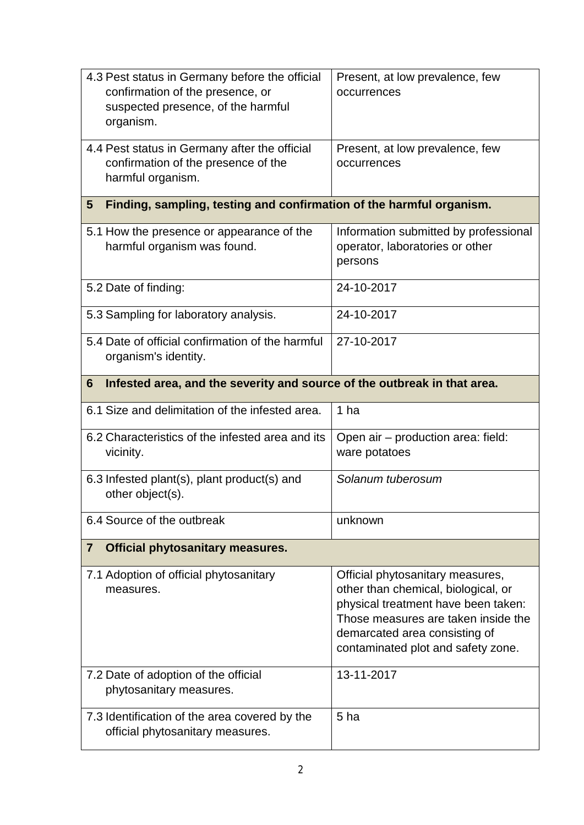| 4.3 Pest status in Germany before the official<br>confirmation of the presence, or<br>suspected presence, of the harmful<br>organism. | Present, at low prevalence, few<br>occurrences                                                                                                                                                                               |  |
|---------------------------------------------------------------------------------------------------------------------------------------|------------------------------------------------------------------------------------------------------------------------------------------------------------------------------------------------------------------------------|--|
| 4.4 Pest status in Germany after the official<br>confirmation of the presence of the<br>harmful organism.                             | Present, at low prevalence, few<br>occurrences                                                                                                                                                                               |  |
| Finding, sampling, testing and confirmation of the harmful organism.<br>$5\overline{)}$                                               |                                                                                                                                                                                                                              |  |
| 5.1 How the presence or appearance of the<br>harmful organism was found.                                                              | Information submitted by professional<br>operator, laboratories or other<br>persons                                                                                                                                          |  |
| 5.2 Date of finding:                                                                                                                  | 24-10-2017                                                                                                                                                                                                                   |  |
| 5.3 Sampling for laboratory analysis.                                                                                                 | 24-10-2017                                                                                                                                                                                                                   |  |
| 5.4 Date of official confirmation of the harmful<br>organism's identity.                                                              | 27-10-2017                                                                                                                                                                                                                   |  |
| Infested area, and the severity and source of the outbreak in that area.<br>6                                                         |                                                                                                                                                                                                                              |  |
| 6.1 Size and delimitation of the infested area.                                                                                       | 1 ha                                                                                                                                                                                                                         |  |
| 6.2 Characteristics of the infested area and its<br>vicinity.                                                                         | Open air – production area: field:<br>ware potatoes                                                                                                                                                                          |  |
| 6.3 Infested plant(s), plant product(s) and<br>other object(s).                                                                       | Solanum tuberosum                                                                                                                                                                                                            |  |
| 6.4 Source of the outbreak                                                                                                            | unknown                                                                                                                                                                                                                      |  |
| <b>Official phytosanitary measures.</b><br>$\overline{7}$                                                                             |                                                                                                                                                                                                                              |  |
| 7.1 Adoption of official phytosanitary<br>measures.                                                                                   | Official phytosanitary measures,<br>other than chemical, biological, or<br>physical treatment have been taken:<br>Those measures are taken inside the<br>demarcated area consisting of<br>contaminated plot and safety zone. |  |
| 7.2 Date of adoption of the official<br>phytosanitary measures.                                                                       | 13-11-2017                                                                                                                                                                                                                   |  |
| 7.3 Identification of the area covered by the<br>official phytosanitary measures.                                                     | 5 ha                                                                                                                                                                                                                         |  |